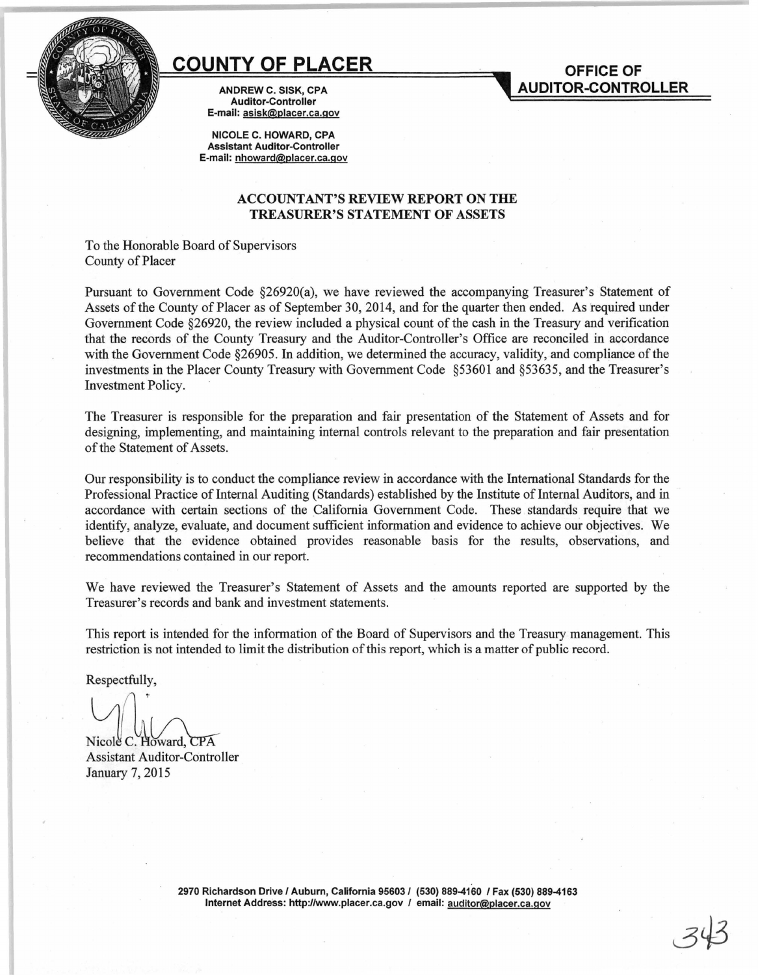

## **COUNTY OF PLACER**

ANDREW C. SISK, CPA Auditor-Controller E-mail: asisk@placer.ca.gov

NICOLE C. HOWARD, CPA Assistant Auditor-Controller E-mail: nhoward@placer.ca.gov

## ACCOUNTANT'S REVIEW REPORT ON THE TREASURER'S STATEMENT OF ASSETS

**OFFICE OF AUDITOR-CONTROLLER** 

To the Honorable Board of Supervisors County of Placer

Pursuant to Government Code §26920(a), we have reviewed the accompanying Treasurer's Statement of Assets of the County of Placer as of September 30, 2014, and for the quarter then ended. As required under Government Code §26920, the review included a physical count of the cash in the Treasury and verification that the records of the County Treasury and the Auditor-Controller's Office are reconciled in accordance with the Government Code §26905. In addition, we determined the accuracy, validity, and compliance of the investments in the Placer County Treasury with Government Code §53601 and §53635, and the Treasurer's Investment Policy.

The Treasurer is responsible for the preparation and fair presentation of the Statement of Assets and for designing, implementing, and maintaining internal controls relevant to the preparation and fair presentation of the Statement of Assets.

Our responsibility is to conduct the compliance review in accordance with the International Standards for the Professional Practice of Internal Auditing (Standards) established by the Institute of Internal Auditors, and in accordance with certain sections of the California Government Code. These standards require that we identify, analyze, evaluate, and document sufficient information and evidence to achieve our objectives. We believe that the evidence obtained provides reasonable basis for the results, observations, and recommendations contained in our report.

We have reviewed the Treasurer's Statement of Assets and the amounts reported are supported by the Treasurer's records and bank and investment statements.

This report is intended for the information of the Board of Supervisors and the Treasury management. This restriction is not intended to limit the distribution of this report, which is a matter of public record.

Respectfully,

Nicole C. Howard, CPA

Assistant Auditor-Controller January 7, 2015